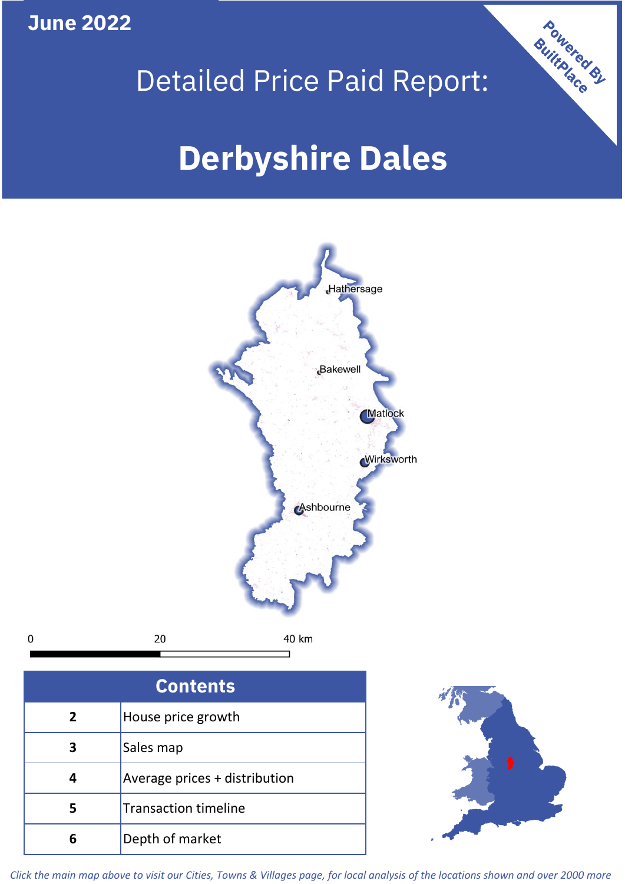**June 2022**





| <b>Contents</b> |                               |  |  |
|-----------------|-------------------------------|--|--|
| $\overline{2}$  | House price growth            |  |  |
| 3               | Sales map                     |  |  |
| 4               | Average prices + distribution |  |  |
|                 | <b>Transaction timeline</b>   |  |  |
|                 | Depth of market               |  |  |



*Click the main map above to visit our Cities, Towns & Villages page, for local analysis of the locations shown and over 2000 more*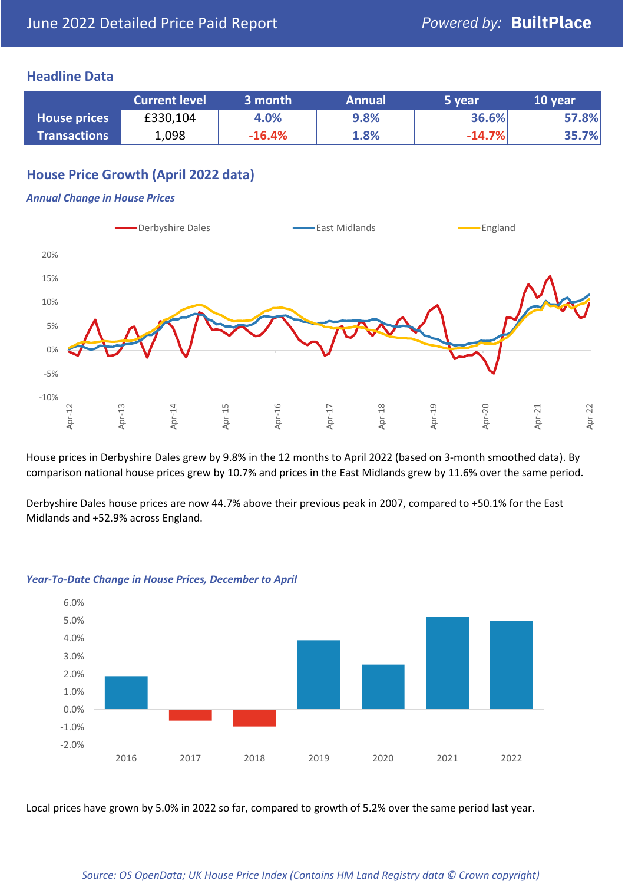#### **Headline Data**

|                     | <b>Current level</b> | 3 month  | <b>Annual</b> | 5 year   | 10 year |
|---------------------|----------------------|----------|---------------|----------|---------|
| <b>House prices</b> | £330,104             | 4.0%     | 9.8%          | 36.6%    | 57.8%   |
| <b>Transactions</b> | 1,098                | $-16.4%$ | 1.8%          | $-14.7%$ | 35.7%   |

# **House Price Growth (April 2022 data)**

#### *Annual Change in House Prices*



House prices in Derbyshire Dales grew by 9.8% in the 12 months to April 2022 (based on 3-month smoothed data). By comparison national house prices grew by 10.7% and prices in the East Midlands grew by 11.6% over the same period.

Derbyshire Dales house prices are now 44.7% above their previous peak in 2007, compared to +50.1% for the East Midlands and +52.9% across England.



#### *Year-To-Date Change in House Prices, December to April*

Local prices have grown by 5.0% in 2022 so far, compared to growth of 5.2% over the same period last year.

#### *Source: OS OpenData; UK House Price Index (Contains HM Land Registry data © Crown copyright)*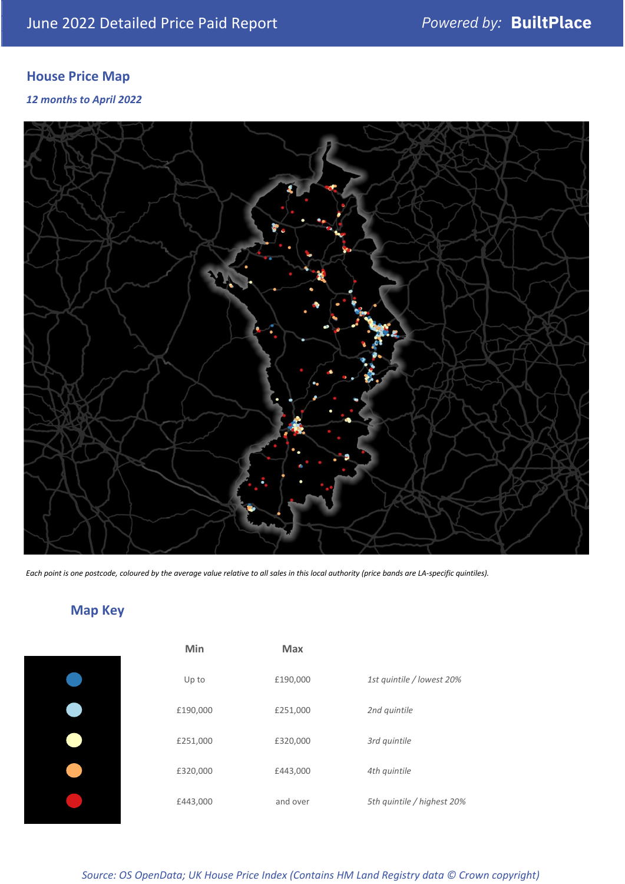# **House Price Map**

#### *12 months to April 2022*



*Each point is one postcode, coloured by the average value relative to all sales in this local authority (price bands are LA-specific quintiles).*

# **Map Key**

| Min      | <b>Max</b> |                            |
|----------|------------|----------------------------|
| Up to    | £190,000   | 1st quintile / lowest 20%  |
| £190,000 | £251,000   | 2nd quintile               |
| £251,000 | £320,000   | 3rd quintile               |
| £320,000 | £443,000   | 4th quintile               |
| £443,000 | and over   | 5th quintile / highest 20% |
|          |            |                            |

#### *Source: OS OpenData; UK House Price Index (Contains HM Land Registry data © Crown copyright)*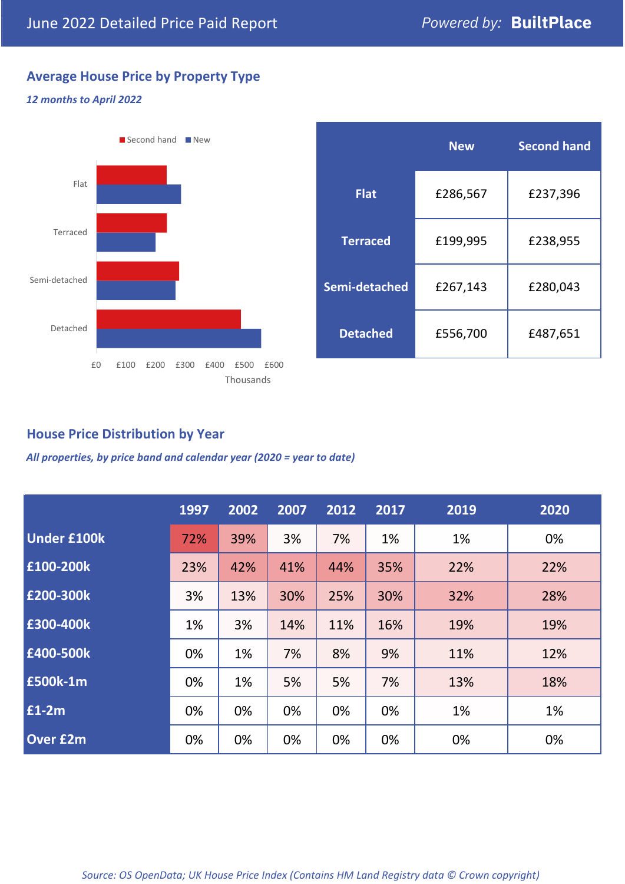# **Average House Price by Property Type**

#### *12 months to April 2022*



|                 | <b>New</b> | <b>Second hand</b> |  |  |
|-----------------|------------|--------------------|--|--|
| <b>Flat</b>     | £286,567   | £237,396           |  |  |
| <b>Terraced</b> | £199,995   | £238,955           |  |  |
| Semi-detached   | £267,143   | £280,043           |  |  |
| <b>Detached</b> | £556,700   | £487,651           |  |  |

### **House Price Distribution by Year**

*All properties, by price band and calendar year (2020 = year to date)*

|                    | 1997 | 2002 | 2007 | 2012 | 2017 | 2019 | 2020 |
|--------------------|------|------|------|------|------|------|------|
| <b>Under £100k</b> | 72%  | 39%  | 3%   | 7%   | 1%   | 1%   | 0%   |
| £100-200k          | 23%  | 42%  | 41%  | 44%  | 35%  | 22%  | 22%  |
| E200-300k          | 3%   | 13%  | 30%  | 25%  | 30%  | 32%  | 28%  |
| £300-400k          | 1%   | 3%   | 14%  | 11%  | 16%  | 19%  | 19%  |
| £400-500k          | 0%   | 1%   | 7%   | 8%   | 9%   | 11%  | 12%  |
| <b>£500k-1m</b>    | 0%   | 1%   | 5%   | 5%   | 7%   | 13%  | 18%  |
| £1-2m              | 0%   | 0%   | 0%   | 0%   | 0%   | 1%   | 1%   |
| <b>Over £2m</b>    | 0%   | 0%   | 0%   | 0%   | 0%   | 0%   | 0%   |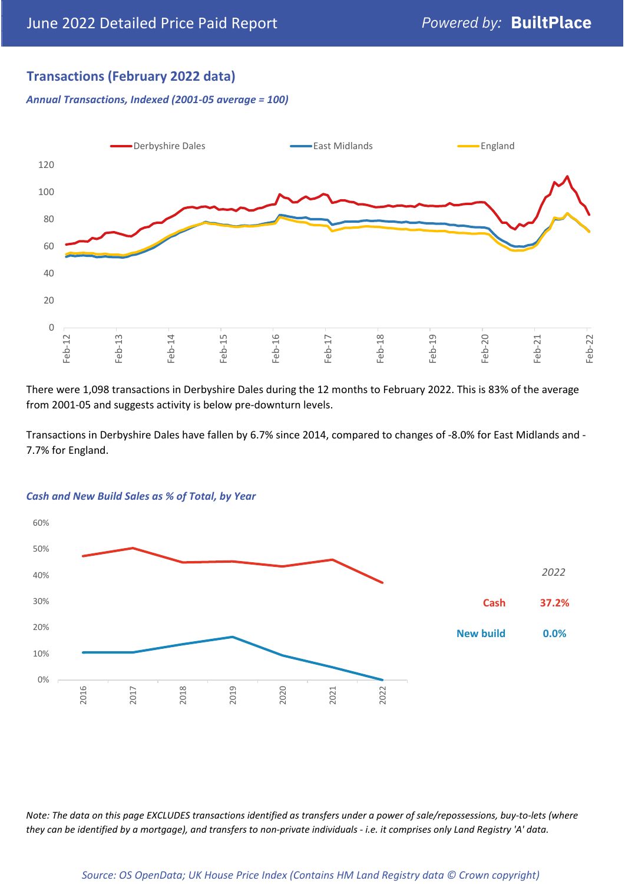## **Transactions (February 2022 data)**

*Annual Transactions, Indexed (2001-05 average = 100)*



There were 1,098 transactions in Derbyshire Dales during the 12 months to February 2022. This is 83% of the average from 2001-05 and suggests activity is below pre-downturn levels.

Transactions in Derbyshire Dales have fallen by 6.7% since 2014, compared to changes of -8.0% for East Midlands and - 7.7% for England.



#### *Cash and New Build Sales as % of Total, by Year*

*Note: The data on this page EXCLUDES transactions identified as transfers under a power of sale/repossessions, buy-to-lets (where they can be identified by a mortgage), and transfers to non-private individuals - i.e. it comprises only Land Registry 'A' data.*